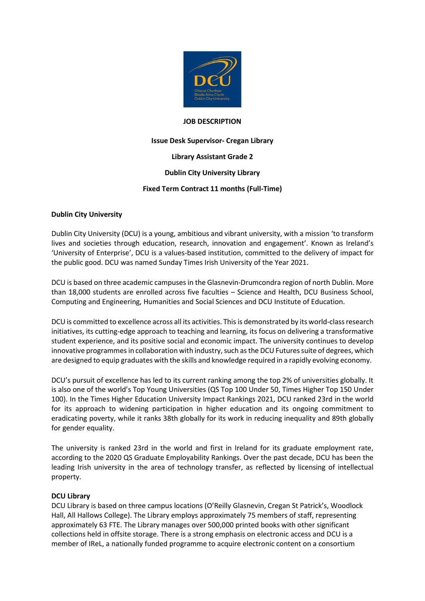

#### **JOB DESCRIPTION**

# **Issue Desk Supervisor- Cregan Library**

**Library Assistant Grade 2**

## **Dublin City University Library**

# **Fixed Term Contract 11 months (Full-Time)**

#### **Dublin City University**

Dublin City University (DCU) is a young, ambitious and vibrant university, with a mission 'to transform lives and societies through education, research, innovation and engagement'. Known as Ireland's 'University of Enterprise', DCU is a values-based institution, committed to the delivery of impact for the public good. DCU was named Sunday Times Irish University of the Year 2021.

DCU is based on three academic campuses in the Glasnevin-Drumcondra region of north Dublin. More than 18,000 students are enrolled across five faculties – Science and Health, DCU Business School, Computing and Engineering, Humanities and Social Sciences and DCU Institute of Education.

DCU is committed to excellence across all its activities. This is demonstrated by its world-class research initiatives, its cutting-edge approach to teaching and learning, its focus on delivering a transformative student experience, and its positive social and economic impact. The university continues to develop innovative programmes in collaboration with industry, such as the DCU Futures suite of degrees, which are designed to equip graduates with the skills and knowledge required in a rapidly evolving economy.

DCU's pursuit of excellence has led to its current ranking among the top 2% of universities globally. It is also one of the world's Top Young Universities (QS Top 100 Under 50, Times Higher Top 150 Under 100). In the Times Higher Education University Impact Rankings 2021, DCU ranked 23rd in the world for its approach to widening participation in higher education and its ongoing commitment to eradicating poverty, while it ranks 38th globally for its work in reducing inequality and 89th globally for gender equality.

The university is ranked 23rd in the world and first in Ireland for its graduate employment rate, according to the 2020 QS Graduate Employability Rankings. Over the past decade, DCU has been the leading Irish university in the area of technology transfer, as reflected by licensing of intellectual property.

#### **DCU Library**

DCU Library is based on three campus locations (O'Reilly Glasnevin, Cregan St Patrick's, Woodlock Hall, All Hallows College). The Library employs approximately 75 members of staff, representing approximately 63 FTE. The Library manages over 500,000 printed books with other significant collections held in offsite storage. There is a strong emphasis on electronic access and DCU is a member of IReL, a nationally funded programme to acquire electronic content on a consortium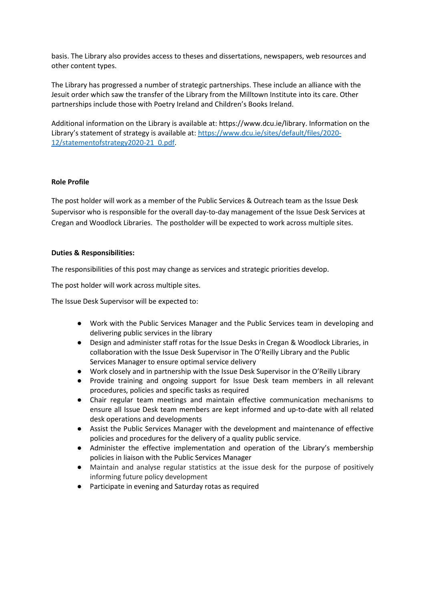basis. The Library also provides access to theses and dissertations, newspapers, web resources and other content types.

The Library has progressed a number of strategic partnerships. These include an alliance with the Jesuit order which saw the transfer of the Library from the Milltown Institute into its care. Other partnerships include those with Poetry Ireland and Children's Books Ireland.

Additional information on the Library is available at: https://www.dcu.ie/library. Information on the Library's statement of strategy is available at: [https://www.dcu.ie/sites/default/files/2020-](https://www.dcu.ie/sites/default/files/2020-12/statementofstrategy2020-21_0.pdf) [12/statementofstrategy2020-21\\_0.pdf.](https://www.dcu.ie/sites/default/files/2020-12/statementofstrategy2020-21_0.pdf)

#### **Role Profile**

The post holder will work as a member of the Public Services & Outreach team as the Issue Desk Supervisor who is responsible for the overall day-to-day management of the Issue Desk Services at Cregan and Woodlock Libraries. The postholder will be expected to work across multiple sites.

#### **Duties & Responsibilities:**

The responsibilities of this post may change as services and strategic priorities develop.

The post holder will work across multiple sites.

The Issue Desk Supervisor will be expected to:

- Work with the Public Services Manager and the Public Services team in developing and delivering public services in the library
- Design and administer staff rotas for the Issue Desks in Cregan & Woodlock Libraries, in collaboration with the Issue Desk Supervisor in The O'Reilly Library and the Public Services Manager to ensure optimal service delivery
- Work closely and in partnership with the Issue Desk Supervisor in the O'Reilly Library
- Provide training and ongoing support for Issue Desk team members in all relevant procedures, policies and specific tasks as required
- Chair regular team meetings and maintain effective communication mechanisms to ensure all Issue Desk team members are kept informed and up-to-date with all related desk operations and developments
- Assist the Public Services Manager with the development and maintenance of effective policies and procedures for the delivery of a quality public service.
- Administer the effective implementation and operation of the Library's membership policies in liaison with the Public Services Manager
- Maintain and analyse regular statistics at the issue desk for the purpose of positively informing future policy development
- Participate in evening and Saturday rotas as required